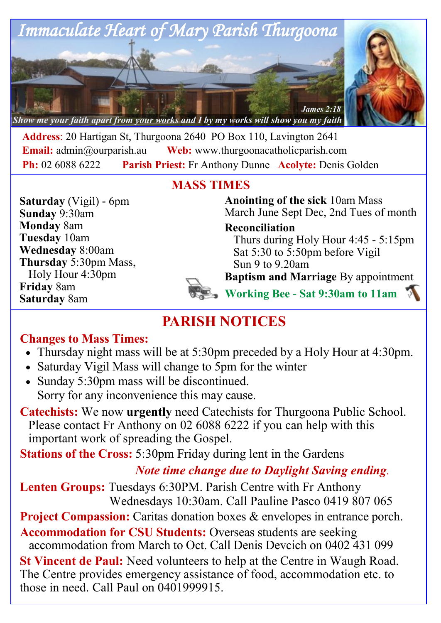

**Address**: 20 Hartigan St, Thurgoona 2640 PO Box 110, Lavington 2641 **Email:**  $\text{admin}(\partial_t)$  our parish.au Web: www.thurgoonacatholic parish.com **Ph:** 02 6088 6222 **Parish Priest:** Fr Anthony Dunne **Acolyte:** Denis Golden

**Saturday** (Vigil) - 6pm **Sunday** 9:30am **Monday** 8am **Tuesday** 10am **Wednesday** 8:00am **Thursday** 5:30pm Mass, Holy Hour 4:30pm **Friday** 8am **Saturday** 8am

# **MASS TIMES**

**Anointing of the sick** 10am Mass March June Sept Dec, 2nd Tues of month

### **Reconciliation**

Thurs during Holy Hour 4:45 - 5:15pm Sat 5:30 to 5:50pm before Vigil Sun 9 to 9.20 $am$ 

**Baptism and Marriage** By appointment

**Working Bee - Sat 9:30am to 11am** 

# **PARISH NOTICES**

# **Changes to Mass Times:**

- Thursday night mass will be at 5:30pm preceded by a Holy Hour at 4:30pm.
- Saturday Vigil Mass will change to 5pm for the winter
- Sunday 5:30pm mass will be discontinued. Sorry for any inconvenience this may cause.

**Catechists:** We now **urgently** need Catechists for Thurgoona Public School. Please contact Fr Anthony on 02 6088 6222 if you can help with this important work of spreading the Gospel.

**Stations of the Cross:** 5:30pm Friday during lent in the Gardens

# *Note time change due to Daylight Saving ending.*

**Lenten Groups:** Tuesdays 6:30PM. Parish Centre with Fr Anthony Wednesdays 10:30am. Call Pauline Pasco 0419 807 065

**Project Compassion:** Caritas donation boxes & envelopes in entrance porch.

**Accommodation for CSU Students:** Overseas students are seeking accommodation from March to Oct. Call Denis Devcich on 0402 431 099

**St Vincent de Paul:** Need volunteers to help at the Centre in Waugh Road. The Centre provides emergency assistance of food, accommodation etc. to those in need. Call Paul on 0401999915.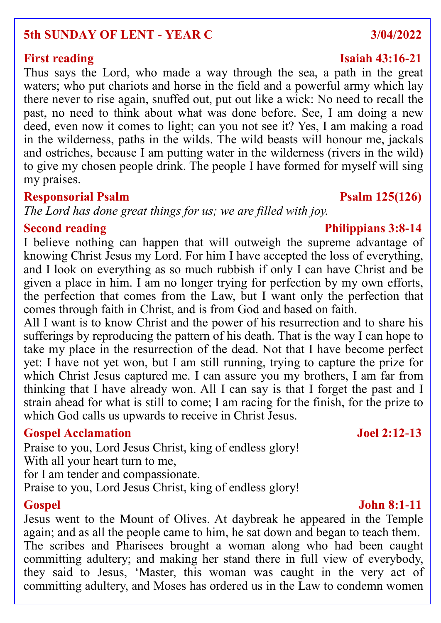## **5th SUNDAY OF LENT - YEAR C 3/04/2022**

### **First reading Isaiah 43:16-21**

Thus says the Lord, who made a way through the sea, a path in the great waters; who put chariots and horse in the field and a powerful army which lay there never to rise again, snuffed out, put out like a wick: No need to recall the past, no need to think about what was done before. See, I am doing a new deed, even now it comes to light; can you not see it? Yes, I am making a road in the wilderness, paths in the wilds. The wild beasts will honour me, jackals and ostriches, because I am putting water in the wilderness (rivers in the wild) to give my chosen people drink. The people I have formed for myself will sing my praises.

### **Responsorial Psalm Psalm 125(126)**

*The Lord has done great things for us; we are filled with joy.*

I believe nothing can happen that will outweigh the supreme advantage of knowing Christ Jesus my Lord. For him I have accepted the loss of everything, and I look on everything as so much rubbish if only I can have Christ and be given a place in him. I am no longer trying for perfection by my own efforts, the perfection that comes from the Law, but I want only the perfection that comes through faith in Christ, and is from God and based on faith.

All I want is to know Christ and the power of his resurrection and to share his sufferings by reproducing the pattern of his death. That is the way I can hope to take my place in the resurrection of the dead. Not that I have become perfect yet: I have not yet won, but I am still running, trying to capture the prize for which Christ Jesus captured me. I can assure you my brothers, I am far from thinking that I have already won. All I can say is that I forget the past and I strain ahead for what is still to come; I am racing for the finish, for the prize to which God calls us upwards to receive in Christ Jesus.

# **Gospel Acclamation Joel 2:12-13**

Praise to you, Lord Jesus Christ, king of endless glory! With all your heart turn to me, for I am tender and compassionate. Praise to you, Lord Jesus Christ, king of endless glory!

Jesus went to the Mount of Olives. At daybreak he appeared in the Temple again; and as all the people came to him, he sat down and began to teach them. The scribes and Pharisees brought a woman along who had been caught committing adultery; and making her stand there in full view of everybody, they said to Jesus, 'Master, this woman was caught in the very act of committing adultery, and Moses has ordered us in the Law to condemn women

## **Gospel John 8:1-11**

# **Second reading Philippians 3:8-14**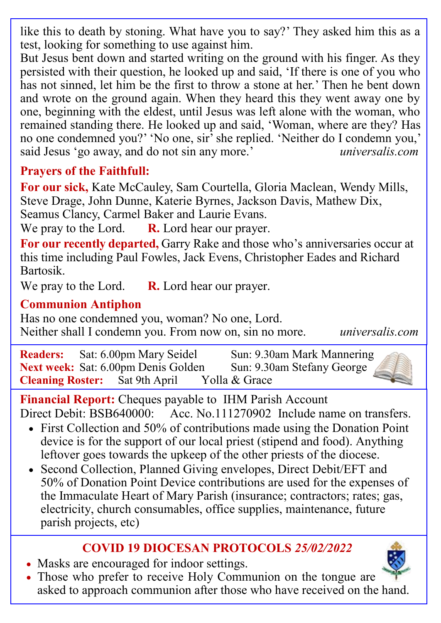like this to death by stoning. What have you to say?' They asked him this as a test, looking for something to use against him.

But Jesus bent down and started writing on the ground with his finger. As they persisted with their question, he looked up and said, 'If there is one of you who has not sinned, let him be the first to throw a stone at her.' Then he bent down and wrote on the ground again. When they heard this they went away one by one, beginning with the eldest, until Jesus was left alone with the woman, who remained standing there. He looked up and said, 'Woman, where are they? Has no one condemned you?' 'No one, sir' she replied. 'Neither do I condemn you,' said Jesus 'go away, and do not sin any more.' *universalis.com*

# **Prayers of the Faithfull:**

**For our sick,** Kate McCauley, Sam Courtella, Gloria Maclean, Wendy Mills, Steve Drage, John Dunne, Katerie Byrnes, Jackson Davis, Mathew Dix, Seamus Clancy, Carmel Baker and Laurie Evans.

We pray to the Lord. **R.** Lord hear our prayer.

**For our recently departed,** Garry Rake and those who's anniversaries occur at this time including Paul Fowles, Jack Evens, Christopher Eades and Richard Bartosik.

We pray to the Lord. **R.** Lord hear our prayer.

# **Communion Antiphon**

Has no one condemned you, woman? No one, Lord. Neither shall I condemn you. From now on, sin no more. *universalis.com*

| <b>Readers:</b> | Sat: 6.00pm Mary Seidel                    | Sun: 9.30am Mark Mannering | $\triangle$              |
|-----------------|--------------------------------------------|----------------------------|--------------------------|
|                 | <b>Next week:</b> Sat: 6.00pm Denis Golden | Sun: 9.30am Stefany George | $\overline{\phantom{a}}$ |
|                 | <b>Cleaning Roster:</b> Sat 9th April      | Yolla & Grace              |                          |

**Financial Report:** Cheques payable to IHM Parish Account Direct Debit: BSB640000: Acc. No.111270902 Include name on transfers.

- First Collection and 50% of contributions made using the Donation Point device is for the support of our local priest (stipend and food). Anything leftover goes towards the upkeep of the other priests of the diocese.
- Second Collection, Planned Giving envelopes, Direct Debit/EFT and 50% of Donation Point Device contributions are used for the expenses of the Immaculate Heart of Mary Parish (insurance; contractors; rates; gas, electricity, church consumables, office supplies, maintenance, future parish projects, etc)

# **COVID 19 DIOCESAN PROTOCOLS** *25/02/2022*

- Masks are encouraged for indoor settings.
- Those who prefer to receive Holy Communion on the tongue are asked to approach communion after those who have received on the hand.